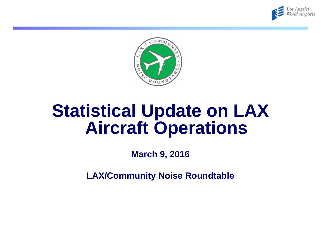



# **Statistical Update on LAX Aircraft Operations**

**March 9, 2016**

**LAX/Community Noise Roundtable**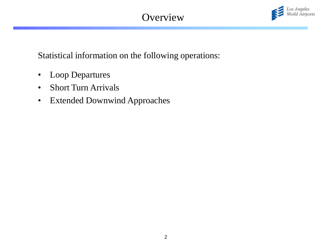# **Overview**



Statistical information on the following operations:

- Loop Departures
- Short Turn Arrivals
- Extended Downwind Approaches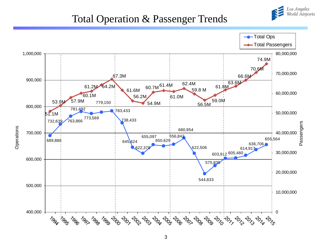

#### Total Operation & Passenger Trends

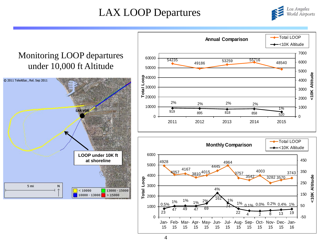## LAX LOOP Departures



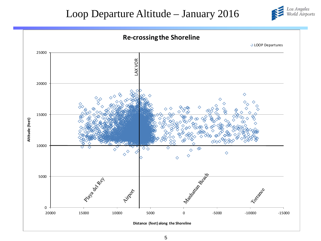#### Loop Departure Altitude – January 2016



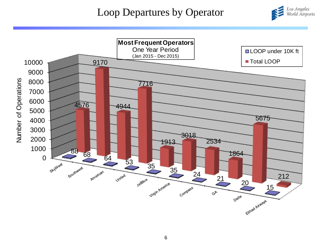#### Loop Departures by Operator



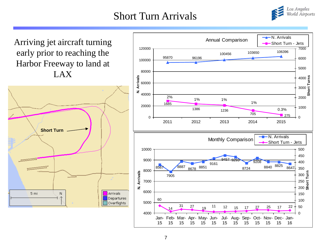#### Short Turn Arrivals



Arriving jet aircraft turning early prior to reaching the Harbor Freeway to land at LAX



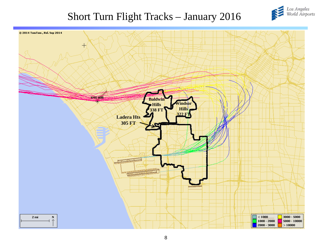

## Short Turn Flight Tracks – January 2016

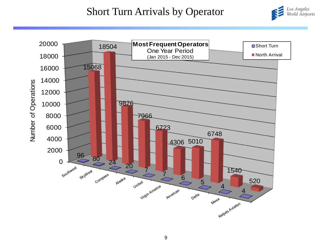#### Short Turn Arrivals by Operator



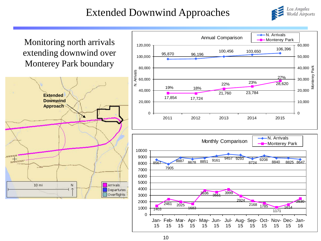# Extended Downwind Approaches





15

15

15

15

15

15

15

15

15

15

15

16

15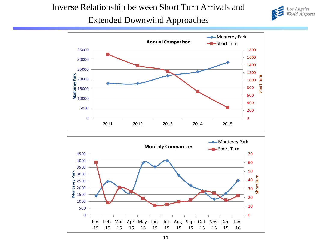#### Inverse Relationship between Short Turn Arrivals and







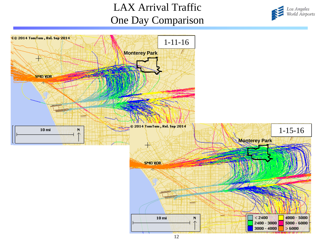# LAX Arrival Traffic One Day Comparison



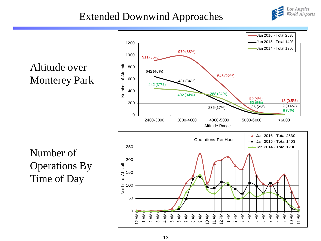# Extended Downwind Approaches



Los Angeles<br>World Airports